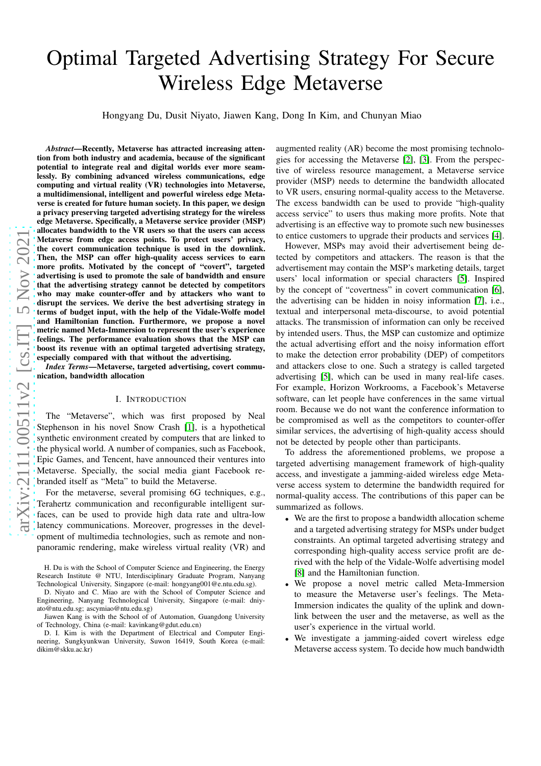# Optimal Targeted Advertising Strategy For Secure Wireless Edge Metaverse

Hongyang Du, Dusit Niyato, Jiawen Kang, Dong In Kim, and Chunyan Miao

*Abstract*—Recently, Metaverse has attracted increasing attention from both industry and academia, because of the significant potential to integrate real and digital worlds ever more seamlessly. By combining advanced wireless communications, edge computing and virtual reality (VR) technologies into Metaverse, a multidimensional, intelligent and powerful wireless edge Metaverse is created for future human society. In this paper, we design a privacy preserving targeted advertising strategy for the wireless edge Metaverse. Specifically, a Metaverse service provider (MSP) allocates bandwidth to the VR users so that the users can access Metaverse from edge access points. To protect users' privacy, the covert communication technique is used in the downlink. Then, the MSP can offer high-quality access services to earn more profits. Motivated by the concept of "covert", targeted advertising is used to promote the sale of bandwidth and ensure that the advertising strategy cannot be detected by competitors who may make counter-offer and by attackers who want to disrupt the services. We derive the best advertising strategy in terms of budget input, with the help of the Vidale-Wolfe mode l and Hamiltonian function. Furthermore, we propose a novel metric named Meta-Immersion to represent the user's experience feelings. The performance evaluation shows that the MSP can boost its revenue with an optimal targeted advertising strategy, especially compared with that without the advertising.

*Index Terms*—Metaverse, targeted advertising, covert communication, bandwidth allocation

#### I. INTRODUCTION

The "Metaverse", which was first proposed by Neal Stephenson in his novel Snow Crash [\[1\]](#page-5-0), is a hypothetical synthetic environment created by computers that are linked to the physical world. A number of companies, such as Facebook, Epic Games, and Tencent, have announced their ventures into Metaverse. Specially, the social media giant Facebook rebranded itself as "Meta" to build the Metaverse.

For the metaverse, several promising 6G techniques, e.g., Terahertz communication and reconfigurable intelligent surfaces, can be used to provide high data rate and ultra-low latency communications. Moreover, progresses in the development of multimedia technologies, such as remote and nonpanoramic rendering, make wireless virtual reality (VR) and augmented reality (AR) become the most promising technologies for accessing the Metaverse [\[2\]](#page-5-1), [\[3\]](#page-5-2). From the perspective of wireless resource management, a Metaverse service provider (MSP) needs to determine the bandwidth allocated to VR users, ensuring normal-quality access to the Metaverse. The excess bandwidth can be used to provide "high-quality access service" to users thus making more profits. Note that advertising is an effective way to promote such new businesses to entice customers to upgrade their products and services [\[4\]](#page-5-3).

However, MSPs may avoid their advertisement being detected by competitors and attackers. The reason is that the advertisement may contain the MSP's marketing details, target users' local information or special characters [\[5\]](#page-5-4). Inspired by the concept of "covertness" in covert communication [\[6\]](#page-5-5), the advertising can be hidden in noisy information [\[7\]](#page-5-6), i.e. , textual and interpersonal meta-discourse, to avoid potential attacks. The transmission of information can only be received by intended users. Thus, the MSP can customize and optimize the actual advertising effort and the noisy information effort to make the detection error probability (DEP) of competitor s and attackers close to one. Such a strategy is called targete d advertising [\[5\]](#page-5-4), which can be used in many real-life cases. For example, Horizon Workrooms, a Facebook's Metaverse software, can let people have conferences in the same virtua l room. Because we do not want the conference information to be compromised as well as the competitors to counter-offer similar services, the advertising of high-quality access should not be detected by people other than participants.

To address the aforementioned problems, we propose a targeted advertising management framework of high-quality access, and investigate a jamming-aided wireless edge Meta verse access system to determine the bandwidth required for normal-quality access. The contributions of this paper can be summarized as follows.

- We are the first to propose a bandwidth allocation scheme and a targeted advertising strategy for MSPs under budget constraints. An optimal targeted advertising strategy and corresponding high-quality access service profit are derived with the help of the Vidale-Wolfe advertising model [\[8\]](#page-5-7) and the Hamiltonian function.
- We propose a novel metric called Meta-Immersion to measure the Metaverse user's feelings. The Meta-Immersion indicates the quality of the uplink and downlink between the user and the metaverse, as well as the user's experience in the virtual world.
- We investigate a jamming-aided covert wireless edge Metaverse access system. To decide how much bandwidth

H. Du is with the School of Computer Science and Engineering, the Energy Research Institute @ NTU, Interdisciplinary Graduate Program, Nanyang Technological University, Singapore (e-mail: hongyang001@e.ntu.edu.sg).

D. Niyato and C. Miao are with the School of Computer Science and Engineering, Nanyang Technological University, Singapore (e-mail: dniyato@ntu.edu.sg; ascymiao@ntu.edu.sg)

Jiawen Kang is with the School of of Automation, Guangdong University of Technology, China (e-mail: kavinkang@gdut.edu.cn)

D. I. Kim is with the Department of Electrical and Computer Engineering, Sungkyunkwan University, Suwon 16419, South Korea (e-mail: dikim@skku.ac.kr)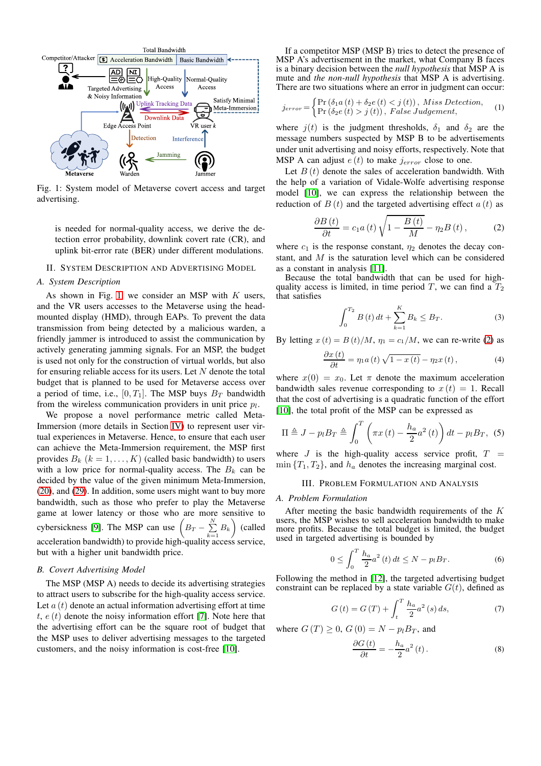

<span id="page-1-0"></span>Fig. 1: System model of Metaverse covert access and target advertising.

is needed for normal-quality access, we derive the detection error probability, downlink covert rate (CR), and uplink bit-error rate (BER) under different modulations.

# II. SYSTEM DESCRIPTION AND ADVERTISING MODEL

#### *A. System Description*

As shown in Fig. [1,](#page-1-0) we consider an MSP with  $K$  users, and the VR users accesses to the Metaverse using the headmounted display (HMD), through EAPs. To prevent the data transmission from being detected by a malicious warden, a friendly jammer is introduced to assist the communication by actively generating jamming signals. For an MSP, the budget is used not only for the construction of virtual worlds, but also for ensuring reliable access for its users. Let  $N$  denote the total budget that is planned to be used for Metaverse access over a period of time, i.e.,  $[0, T_1]$ . The MSP buys  $B_T$  bandwidth from the wireless communication providers in unit price  $p_l$ .

We propose a novel performance metric called Meta-Immersion (more details in Section [IV\)](#page-2-0) to represent user virtual experiences in Metaverse. Hence, to ensure that each user can achieve the Meta-Immersion requirement, the MSP first provides  $B_k$   $(k = 1, ..., K)$  (called basic bandwidth) to users with a low price for normal-quality access. The  $B_k$  can be decided by the value of the given minimum Meta-Immersion, [\(20\)](#page-3-0), and [\(29\)](#page-4-0). In addition, some users might want to buy more bandwidth, such as those who prefer to play the Metaverse game at lower latency or those who are more sensitive to cybersickness [\[9\]](#page-5-8). The MSP can use  $(B_T - \sum_{k=1}^N B_k)$  (called acceleration bandwidth) to provide high-quality access service, but with a higher unit bandwidth price.

#### *B. Covert Advertising Model*

The MSP (MSP A) needs to decide its advertising strategies to attract users to subscribe for the high-quality access service. Let  $a(t)$  denote an actual information advertising effort at time t,  $e(t)$  denote the noisy information effort [\[7\]](#page-5-6). Note here that the advertising effort can be the square root of budget that the MSP uses to deliver advertising messages to the targeted customers, and the noisy information is cost-free [\[10\]](#page-5-9).

If a competitor MSP (MSP B) tries to detect the presence of MSP A's advertisement in the market, what Company B faces is a binary decision between the *null hypothesis* that MSP A is mute and *the non-null hypothesis* that MSP A is advertising. There are two situations where an error in judgment can occur:

$$
j_{error} = \begin{cases} \Pr\left(\delta_1 a\left(t\right) + \delta_2 e\left(t\right) < j\left(t\right)\right), \; Miss \; Detection, \\ \Pr\left(\delta_2 e\left(t\right) > j\left(t\right)\right), \; False \; Judgement, \end{cases} \tag{1}
$$

where  $j(t)$  is the judgment thresholds,  $\delta_1$  and  $\delta_2$  are the message numbers suspected by MSP B to be advertisements under unit advertising and noisy efforts, respectively. Note that MSP A can adjust  $e(t)$  to make  $j_{error}$  close to one.

Let  $B(t)$  denote the sales of acceleration bandwidth. With the help of a variation of Vidale-Wolfe advertising response model [\[10\]](#page-5-9), we can express the relationship between the reduction of  $B(t)$  and the targeted advertising effect  $a(t)$  as

<span id="page-1-1"></span>
$$
\frac{\partial B\left(t\right)}{\partial t}=c_{1}a\left(t\right)\sqrt{1-\frac{B\left(t\right)}{M}}-\eta_{2}B\left(t\right),\qquad \qquad (2)
$$

where  $c_1$  is the response constant,  $\eta_2$  denotes the decay constant, and M is the saturation level which can be considered as a constant in analysis [\[11\]](#page-5-10).

Because the total bandwidth that can be used for highquality access is limited, in time period T, we can find a  $T_2$ that satisfies

<span id="page-1-2"></span>
$$
\int_{0}^{T_2} B(t) dt + \sum_{k=1}^{K} B_k \le B_T.
$$
 (3)

By letting  $x(t) = B(t)/M$ ,  $\eta_1 = c_1/M$ , we can re-write [\(2\)](#page-1-1) as

<span id="page-1-3"></span>
$$
\frac{\partial x(t)}{\partial t} = \eta_1 a(t) \sqrt{1 - x(t)} - \eta_2 x(t), \tag{4}
$$

where  $x(0) = x_0$ . Let  $\pi$  denote the maximum acceleration bandwidth sales revenue corresponding to  $x(t) = 1$ . Recall that the cost of advertising is a quadratic function of the effort [\[10\]](#page-5-9), the total profit of the MSP can be expressed as

$$
\Pi \triangleq J - p_l B_T \triangleq \int_0^T \left( \pi x(t) - \frac{h_a}{2} a^2(t) \right) dt - p_l B_T, \tag{5}
$$

where J is the high-quality access service profit,  $T =$  $\min\{T_1, T_2\}$ , and  $h_a$  denotes the increasing marginal cost.

# III. PROBLEM FORMULATION AND ANALYSIS

#### *A. Problem Formulation*

After meeting the basic bandwidth requirements of the K users, the MSP wishes to sell acceleration bandwidth to make more profits. Because the total budget is limited, the budget used in targeted advertising is bounded by

<span id="page-1-4"></span>
$$
0 \le \int_0^T \frac{h_a}{2} a^2(t) dt \le N - p_l B_T.
$$
 (6)

Following the method in [\[12\]](#page-5-11), the targeted advertising budget constraint can be replaced by a state variable  $G(t)$ , defined as

<span id="page-1-5"></span>
$$
G(t) = G(T) + \int_{t}^{T} \frac{h_a}{2} a^2(s) ds,
$$
 (7)

where  $G(T) \geq 0$ ,  $G(0) = N - p_l B_T$ , and

<span id="page-1-6"></span>
$$
\frac{\partial G\left(t\right)}{\partial t} = -\frac{h_a}{2}a^2\left(t\right). \tag{8}
$$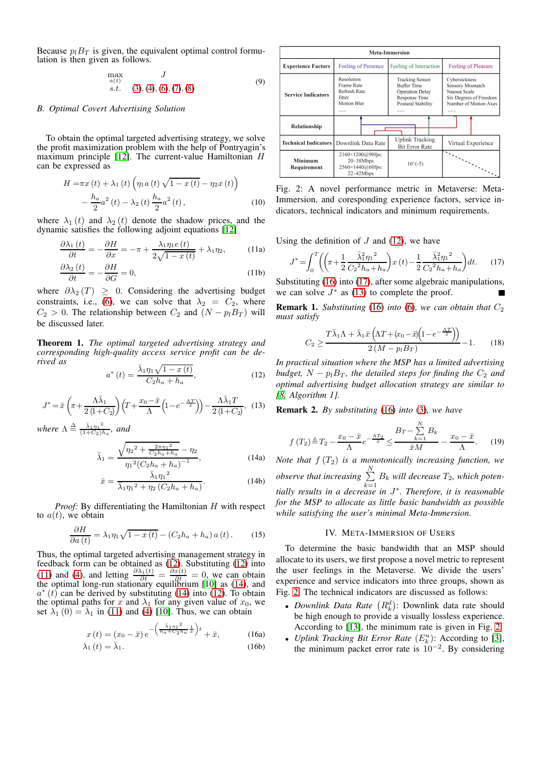Because  $p_lB_T$  is given, the equivalent optimal control formulation is then given as follows.

$$
\max_{a(t)} \quad J
$$
  
s.t. (3), (4), (6), (7), (8) (9)

# *B. Optimal Covert Advertising Solution*

To obtain the optimal targeted advertising strategy, we solve the profit maximization problem with the help of Pontryagin's maximum principle  $[12]$ . The current-value Hamiltonian H can be expressed as

$$
H = \pi x(t) + \lambda_1(t) \left( \eta_1 a(t) \sqrt{1 - x(t)} - \eta_2 x(t) \right) - \frac{h_a}{2} a^2(t) - \lambda_2(t) \frac{h_a}{2} a^2(t),
$$
 (10)

where  $\lambda_1(t)$  and  $\lambda_2(t)$  denote the shadow prices, and the dynamic satisfies the following adjoint equations [\[12\]](#page-5-11)

$$
\frac{\partial \lambda_1(t)}{\partial t} = -\frac{\partial H}{\partial x} = -\pi + \frac{\lambda_1 \eta_1 e(t)}{2\sqrt{1 - x(t)}} + \lambda_1 \eta_2,\tag{11a}
$$

$$
\frac{\partial \lambda_2(t)}{\partial t} = -\frac{\partial H}{\partial G} = 0,
$$
\n(11b)

where  $\partial \lambda_2(T) \geq 0$ . Considering the advertising budget constraints, i.e., [\(6\)](#page-1-4), we can solve that  $\lambda_2 = C_2$ , where  $C_2 > 0$ . The relationship between  $C_2$  and  $(N - p_lB_T)$  will be discussed later.

<span id="page-2-8"></span>Theorem 1. *The optimal targeted advertising strategy and corresponding high-quality access service profit can be derived as*

<span id="page-2-1"></span>
$$
a^*(t) = \frac{\bar{\lambda}_1 \eta_1 \sqrt{1 - x(t)}}{C_2 h_a + h_a},\tag{12}
$$

$$
J^* = \bar{x} \left( \pi + \frac{\Lambda \bar{\lambda}_1}{2 \left( 1 + C_2 \right)} \right) \left( T + \frac{x_0 - \bar{x}}{\Lambda} \left( 1 - e^{-\frac{\Lambda T}{\bar{x}}} \right) \right) - \frac{\Lambda \bar{\lambda}_1 T}{2 \left( 1 + C_2 \right)}, \tag{13}
$$

*where*  $\Lambda \stackrel{\Delta}{=} \frac{\bar{\lambda}_1 \eta_1^2}{(1 + C_2)^3}$  $\frac{\lambda_1 \eta_1^2}{(1+C_2)h_a}$ , and

<span id="page-2-3"></span>
$$
\bar{\lambda}_1 = \frac{\sqrt{\eta_2^2 + \frac{2\pi\eta_1^2}{C_2h_a + h_a}} - \eta_2}{\eta_1^2 (C_2h_a + h_a)^{-1}},
$$
\n(14a)

$$
\bar{x} = \frac{\bar{\lambda}_1 \eta_1^2}{\bar{\lambda}_1 \eta_1^2 + \eta_2 \left(C_2 h_a + h_a\right)}.
$$
 (14b)

*Proof:* By differentiating the Hamiltonian H with respect to  $a(t)$ , we obtain

$$
\frac{\partial H}{\partial a\left(t\right)} = \lambda_1 \eta_1 \sqrt{1 - x\left(t\right)} - \left(C_2 h_a + h_a\right) a\left(t\right). \tag{15}
$$

Thus, the optimal targeted advertising management strategy in feedback form can be obtained as [\(12\)](#page-2-1). Substituting [\(12\)](#page-2-1) into [\(11\)](#page-2-2) and [\(4\)](#page-1-3), and letting  $\frac{\partial \lambda_1(t)}{\partial t} = \frac{\partial x(t)}{\partial t} = 0$ , we can obtain the optimal long-run stationary equilibrium [\[10\]](#page-5-9) as [\(14\)](#page-2-3), and  $e^*(t)$  can be derived by subtrivium (10). To obtain  $a^*(t)$  can be derived by substituting [\(14\)](#page-2-3) into [\(12\)](#page-2-1). To obtain the optimal paths for x and  $\lambda_1$  for any given value of  $x_0$ , we set  $\lambda_1$  (0) =  $\overline{\lambda}_1$  in [\(11\)](#page-2-2) and [\(4\)](#page-1-3) [\[10\]](#page-5-9). Thus, we can obtain

$$
x(t) = (x_0 - \bar{x}) e^{-\left(\frac{\bar{\lambda}_1 \eta_1^2}{h_a + C_2 h_a} \frac{1}{\bar{x}}\right)t} + \bar{x}, \tag{16a}
$$

$$
\lambda_1(t) = \bar{\lambda}_1. \tag{16b}
$$



<span id="page-2-7"></span>Fig. 2: A novel performance metric in Metaverse: Meta-Immersion, and coresponding experience factors, service indicators, technical indicators and minimum requirements.

<span id="page-2-2"></span>Using the definition of  $J$  and [\(12\)](#page-2-1), we have

<span id="page-2-5"></span>
$$
J^* = \int_0^T \left( \left( \pi + \frac{1}{2} \frac{\bar{\lambda}_1^2 \eta_1^2}{C_2^2 h_a + h_a} \right) x(t) - \frac{1}{2} \frac{\bar{\lambda}_1^2 \eta_1^2}{C_2^2 h_a + h_a} \right) dt. \tag{17}
$$

Substituting [\(16\)](#page-2-4) into [\(17\)](#page-2-5), after some algebraic manipulations, we can solve  $J^*$  as [\(13\)](#page-2-6) to complete the proof.

**Remark 1.** *Substituting* [\(16\)](#page-2-4) *into* [\(6\)](#page-1-4)*, we can obtain that*  $C_2$ *must satisfy*

$$
C_2 \ge \frac{T\bar{\lambda}_1 \Lambda + \bar{\lambda}_1 \bar{x} \left(\Lambda T + (x_0 - \bar{x})(1 - e^{-\frac{\Lambda T}{\bar{x}}})\right)}{2\left(M - p_l B_T\right)} - 1.
$$
 (18)

*In practical situation where the MSP has a limited advertising budget,*  $N - p_l B_T$ *, the detailed steps for finding the*  $C_2$  *and optimal advertising budget allocation strategy are similar to [\[8,](#page-5-7) Algorithm 1].*

<span id="page-2-6"></span>Remark 2. *By substituting* [\(16\)](#page-2-4) *into* [\(3\)](#page-1-2)*, we have*

$$
f(T_2) \triangleq T_2 - \frac{x_0 - \bar{x}}{\Lambda} e^{-\frac{\Lambda T_2}{\bar{x}}} \leq \frac{B_T - \sum_{k=1}^N B_k}{\bar{x}M} - \frac{x_0 - \bar{x}}{\Lambda}.
$$
 (19)

*Note that*  $f(T_2)$  *is a monotonically increasing function, we observe that increasing*  $\sum_{n=1}^{N}$  $\sum_{k=1}$   $B_k$  will decrease  $T_2$ , which poten*tially results in a decrease in* J *. Therefore, it is reasonable* ∗ *for the MSP to allocate as little basic bandwidth as possible while satisfying the user's minimal Meta-Immersion.*

#### IV. META-IMMERSION OF USERS

<span id="page-2-0"></span>To determine the basic bandwidth that an MSP should allocate to its users, we first propose a novel metric to represent the user feelings in the Metaverse. We divide the users' experience and service indicators into three groups, shown as Fig. [2.](#page-2-7) The technical indicators are discussed as follows:

- <span id="page-2-4"></span>• *Downlink Data Rate*  $(R_k^d)$ : Downlink data rate should be high enough to provide a visually lossless experience. According to [\[13\]](#page-5-12), the minimum rate is given in Fig. [2.](#page-2-7)
- *Uplink Tracking Bit Error Rate*  $(E_k^u)$ : According to [\[3\]](#page-5-2), the minimum packet error rate is  $10^{-2}$ . By considering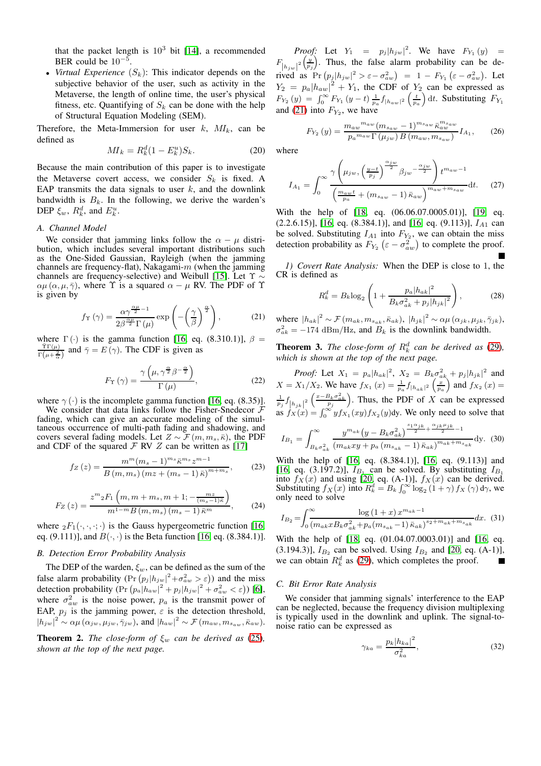that the packet length is  $10^3$  bit [\[14\]](#page-5-13), a recommended BER could be  $10^{-5}$ .

• *Virtual Experience*  $(S_k)$ : This indicator depends on the subjective behavior of the user, such as activity in the Metaverse, the length of online time, the user's physical fitness, etc. Quantifying of  $S_k$  can be done with the help of Structural Equation Modeling (SEM).

Therefore, the Meta-Immersion for user  $k$ ,  $MI_k$ , can be defined as

<span id="page-3-0"></span>
$$
MI_k = R_k^d (1 - E_k^u) S_k.
$$
 (20)

Because the main contribution of this paper is to investigate the Metaverse covert access, we consider  $S_k$  is fixed. A EAP transmits the data signals to user  $k$ , and the downlink bandwidth is  $B_k$ . In the following, we derive the warden's DEP  $\xi_w$ ,  $R_k^d$ , and  $E_k^u$ .

#### *A. Channel Model*

We consider that jamming links follow the  $\alpha - \mu$  distribution, which includes several important distributions such as the One-Sided Gaussian, Rayleigh (when the jamming channels are frequency-flat), Nakagami- $m$  (when the jamming channels are frequency-selective) and Weibull [\[15\]](#page-5-14). Let Υ ∼  $\alpha\mu$  ( $\alpha$ ,  $\mu$ ,  $\bar{\gamma}$ ), where  $\Upsilon$  is a squared  $\alpha - \mu$  RV. The PDF of  $\Upsilon$ is given by

<span id="page-3-1"></span>
$$
f_{\Upsilon}(\gamma) = \frac{\alpha \gamma^{\frac{\alpha \mu}{2} - 1}}{2\beta^{\frac{\alpha \mu}{2}} \Gamma(\mu)} \exp\left(-\left(\frac{\gamma}{\beta}\right)^{\frac{\alpha}{2}}\right),\tag{21}
$$

where  $\Gamma(\cdot)$  is the gamma function [\[16,](#page-5-15) eq. (8.310.1)],  $\beta = \frac{\tilde{\tau} \Gamma(\mu)}{(\tilde{\tau} - F(\alpha))}$ . The CDE is given as  $\frac{\text{Tr}(\mu)}{\text{Tr}(\mu + \frac{2}{\alpha})}$  and  $\bar{\gamma} = E(\gamma)$ . The CDF is given as

$$
F_{\Upsilon}(\gamma) = \frac{\gamma\left(\mu, \gamma^{\frac{\alpha}{2}}\beta^{-\frac{\alpha}{2}}\right)}{\Gamma\left(\mu\right)},\tag{22}
$$

where  $\gamma(\cdot)$  is the incomplete gamma function [\[16,](#page-5-15) eq. (8.35)].

We consider that data links follow the Fisher-Snedecor  $F$ fading, which can give an accurate modeling of the simultaneous occurrence of multi-path fading and shadowing, and covers several fading models. Let  $Z \sim \mathcal{F}(m, m_s, \bar{\kappa})$ , the PDF and CDF of the squared  $\mathcal F$  RV  $Z$  can be written as [\[17\]](#page-5-16)

$$
f_Z(z) = \frac{m^m (m_s - 1)^{m_s} \bar{\kappa}^{m_s} z^{m-1}}{B(m, m_s) (m z + (m_s - 1) \bar{\kappa})^{m + m_s}},
$$
(23)

$$
F_Z(z) = \frac{z^m{}_2 F_1\left(m, m + m_s, m + 1; -\frac{mz}{(m_s - 1)\bar{\kappa}}\right)}{m^{1-m} B\left(m, m_s\right)\left(m_s - 1\right)\bar{\kappa}^m},\qquad(24)
$$

where  ${}_2F_1(\cdot,\cdot,\cdot;\cdot)$  is the Gauss hypergeometric function [\[16,](#page-5-15) eq. (9.111)], and  $B(\cdot, \cdot)$  is the Beta function [\[16,](#page-5-15) eq. (8.384.1)].

## *B. Detection Error Probability Analysis*

The DEP of the warden,  $\xi_w$ , can be defined as the sum of the false alarm probability  $(\Pr (p_j | h_{jw}|^2 + \sigma_{aw}^2 > \varepsilon))$  and the miss detection probability  $(\Pr (p_a | h_{aw}|^2 + p_j | h_{jw}|^2 + \sigma_{aw}^2 < \varepsilon))$  [\[6\]](#page-5-5), where  $\sigma_{aw}^2$  is the noise power,  $p_a$  is the transmit power of EAP,  $p_j$  is the jamming power,  $\varepsilon$  is the detection threshold,  $|h_{jw}|^2 \sim \alpha \mu (\alpha_{jw}, \mu_{jw}, \bar{\gamma}_{jw}),$  and  $|h_{aw}|^2 \sim \mathcal{F}(m_{aw}, m_{saw}, \bar{\kappa}_{aw}).$ 

**Theorem 2.** *The close-form of*  $\xi_w$  *can be derived as* [\(25\)](#page-4-1)*, shown at the top of the next page.*

*Proof:* Let  $Y_1 = p_j |h_{jw}|^2$ . We have  $F_{Y_1}(y) =$  $F_{\left|h_{jw}\right|^2}\left(\frac{y}{p_j}\right)$ . Thus, the false alarm probability can be derived as  $Pr (p_j | h_{jw} |^2 > \varepsilon - \sigma_{aw}^2) = 1 - F_{Y_1} (\varepsilon - \sigma_{aw}^2)$ . Let  $Y_2 = p_a |h_{aw}|^2 + Y_1$ , the CDF of  $Y_2$  can be expressed as  $F_{Y_2}(y) = \int_0^\infty F_{Y_1}(y-t) \frac{1}{p_a} f_{|h_{aw}|^2}\left(\frac{t}{p_a}\right) dt$ . Substituting  $F_{Y_1}$ and [\(21\)](#page-3-1) into  $F_{Y_2}$ , we have

$$
F_{Y_2}(y) = \frac{m_{aw}^{m_{aw}} (m_{s_{aw}} - 1)^{m_{s_{aw}}} \bar{\kappa}_{aw}^{m_{s_{aw}}}}{p_a^{m_{aw}} \Gamma(\mu_{jw}) B(m_{aw}, m_{s_{aw}})} I_{A_1},\qquad(26)
$$

where

$$
I_{A_1} = \int_0^\infty \frac{\gamma \left(\mu_{jw}, \left(\frac{y-t}{p_j}\right)^{\frac{\alpha_{jw}}{2}} \beta_{jw} - \frac{\alpha_{jw}}{2}\right) t^{maw - 1}}{\left(\frac{mawt}{p_a} + (m_{saw} - 1) \bar{\kappa}_{aw}\right)^{maw + m_{saw}}} \mathrm{d}t. \tag{27}
$$

With the help of [\[18,](#page-5-17) eq. (06.06.07.0005.01)], [\[19,](#page-5-18) eq.  $(2.2.6.15)$ ], [\[16,](#page-5-15) eq.  $(8.384.1)$ ], and [16, eq.  $(9.113)$ ],  $I_{A1}$  can be solved. Substituting  $I_{A1}$  into  $F_{Y_2}$ , we can obtain the miss detection probability as  $F_{Y_2}(\varepsilon - \sigma_{aw}^2)$  to complete the proof.

*1) Covert Rate Analysis:* When the DEP is close to 1, the CR is defined as

$$
R_k^d = B_k \log_2 \left( 1 + \frac{p_a |h_{ak}|^2}{B_k \sigma_{ak}^2 + p_j |h_{jk}|^2} \right),\tag{28}
$$

where  $|h_{ak}|^2 \sim \mathcal{F}(m_{ak}, m_{s_{ak}}, \bar{\kappa}_{ak}), |h_{jk}|^2 \sim \alpha \mu(\alpha_{jk}, \mu_{jk}, \bar{\gamma}_{jk}),$  $\sigma_{ak}^2 = -174$  dBm/Hz, and  $B_k$  is the downlink bandwidth.

**Theorem 3.** The close-form of  $R_k^d$  can be derived as [\(29\)](#page-4-0), *which is shown at the top of the next page.*

*Proof:* Let  $X_1 = p_a |h_{ak}|^2$ ,  $X_2 = B_k \sigma_{ak}^2 + p_j |h_{jk}|^2$  and  $X = X_1/X_2$ . We have  $f_{X_1}(x) = \frac{1}{p_a} f_{|h_{ak}|^2} \left(\frac{x}{p_a}\right)$  and  $f_{X_2}(x) =$  $\frac{1}{p_j} f_{\vert h_{jk} \vert^2} \left( \frac{x - B_k \sigma_{ak}^2}{p_j} \right)$ . Thus, the PDF of X can be expressed as  $f_X(x) = \int_0^\infty y f_{X_1}(xy) f_{X_2}(y) dy$ . We only need to solve that  $c \infty$  $y^{m_{ak}}(y - B_k \sigma_{ak}^2)^{\frac{s_1 \alpha_{jk}}{2} + \frac{\alpha_{jk} \mu_{jk}}{2} - 1}$ 

$$
I_{B_1} = \int_{B_k \sigma_{ak}^2} \frac{y - (y - D_k \sigma_{ak})}{(m_{ak} xy + p_a (m_{s_{ak}} - 1) \bar{\kappa}_{ak})^{m_{ak} + m_{s_{ak}}}} dy. (30)
$$

With the help of [\[16,](#page-5-15) eq. (8.384.1)], [\[16,](#page-5-15) eq. (9.113)] and [\[16,](#page-5-15) eq. (3.197.2)],  $I_{B_1}$  can be solved. By substituting  $I_{B_1}$ into  $f_X(x)$  and using [\[20,](#page-5-19) eq. (A-1)],  $f_X(x)$  can be derived. Substituting  $f_X(x)$  into  $R_k^d = B_k \int_0^\infty \log_2(1+\gamma) f_X(\gamma) d\gamma$ , we only need to solve

<span id="page-3-2"></span>
$$
I_{B_2} = \int_0^\infty \frac{\log\left(1+x\right) x^{m_{ak}-1}}{\left(m_{ak} x B_k \sigma_{ak}^2 + p_a \left(m_{s_{ak}} - 1\right) \bar{\kappa}_{ak}\right)^{s_2 + m_{ak} + m_{s_{ak}}}} dx. \tag{31}
$$

With the help of [\[18,](#page-5-17) eq. (01.04.07.0003.01)] and [\[16,](#page-5-15) eq. (3.194.3)],  $I_{B_2}$  can be solved. Using  $I_{B_2}$  and [\[20,](#page-5-19) eq. (A-1)], we can obtain  $R_k^d$  as [\(29\)](#page-4-0), which completes the proof.

#### *C. Bit Error Rate Analysis*

We consider that jamming signals' interference to the EAP can be neglected, because the frequency division multiplexing is typically used in the downlink and uplink. The signal-tonoise ratio can be expressed as

$$
\gamma_{ka} = \frac{p_k |h_{ka}|^2}{\sigma_{ka}^2},\tag{32}
$$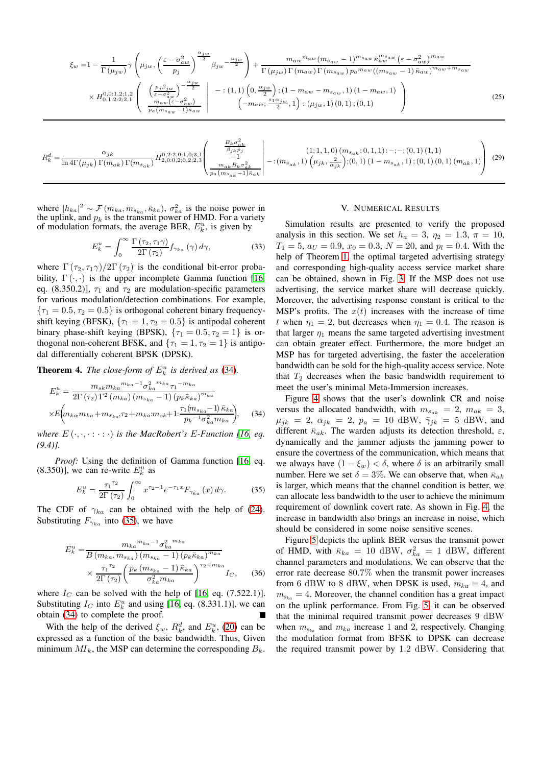$$
\xi_{w} = 1 - \frac{1}{\Gamma(\mu_{jw})} \gamma \left( \mu_{jw}, \left( \frac{\varepsilon - \sigma_{aw}^{2}}{p_{j}} \right)^{\frac{\alpha_{jw}}{2}} \beta_{jw} - \frac{\alpha_{jw}}{2} \right) + \frac{m_{aw} m_{aw} (m_{s_{aw}} - 1)^{m_{saw}} \bar{\kappa}_{aw}^{m_{sw}} (\varepsilon - \sigma_{aw}^{2})^{m_{aw}}}{\Gamma(\mu_{jw}) \Gamma(m_{aw}) \Gamma(m_{saw}) p_{a}^{m_{aw}} ((m_{s_{aw}} - 1) \bar{\kappa}_{aw})^{m_{aw} + m_{saw}}}
$$

$$
\times H_{0,1:2:2;2,1}^{0,0:1,2;1,2} \left( \begin{array}{c} \left( \frac{p_{j} \beta_{jw}}{\varepsilon - \sigma_{aw}^{2}} \right)^{-\frac{\alpha_{jw}}{2}} \\ \frac{m_{aw} (\varepsilon - \sigma_{aw}^{2})}{\mu_{a} (m_{saw} - 1) \bar{\kappa}_{aw}} \end{array} \right) - : (1,1) \left( 0, \frac{\alpha_{jw}}{2} \right); (1 - m_{aw} - m_{saw}, 1) \left( 1 - m_{aw}, 1 \right)
$$

$$
\left( -m_{aw}; \frac{s_{1} \alpha_{jw}}{2}, 1 \right) : (\mu_{jw}, 1) \left( 0, 1 \right); (0,1)
$$

$$
\right) \tag{25}
$$

$$
R_{k}^{d} = \frac{\alpha_{jk}}{\ln 4\Gamma(\mu_{jk})\,\Gamma(m_{ak})\,\Gamma(m_{s_{ak}})} H_{2,0:0,2;0,2;2,3}^{0,2:2,0;1,0;3,1} \left( \begin{array}{c} \frac{B_{k}\sigma_{ak}^{2}}{\beta_{jk}p_{j}}\\ -1\\ \frac{1}{\mu_{ak}B_{k}\sigma_{ak}^{2}}\\ \frac{1}{\mu_{a}(m_{s_{ak}}-1)\bar{\kappa}_{ak}} \end{array} \right) - : (m_{s_{ak}},1) \left( \mu_{jk},\frac{2}{\alpha_{jk}} \right); (0,1) \left( 1-m_{s_{ak}},1 \right); (0,1) \left( 0,1 \right) \left( m_{a k},1 \right) \right) \tag{29}
$$

where  $|h_{ka}|^2 \sim \mathcal{F}(m_{ka}, m_{s_{ka}}, \bar{\kappa}_{ka})$ ,  $\sigma_{ka}^2$  is the noise power in the uplink, and  $p_k$  is the transmit power of HMD. For a variety of modulation formats, the average BER,  $E_k^u$ , is given by

$$
E_k^u = \int_0^\infty \frac{\Gamma(\tau_2, \tau_1 \gamma)}{2\Gamma(\tau_2)} f_{\gamma_{ka}}(\gamma) d\gamma,
$$
 (33)

where  $\Gamma(\tau_2, \tau_1 \gamma)/2\Gamma(\tau_2)$  is the conditional bit-error probability,  $\Gamma(\cdot, \cdot)$  is the upper incomplete Gamma function [\[16,](#page-5-15) eq. (8.350.2)],  $\tau_1$  and  $\tau_2$  are modulation-specific parameters for various modulation/detection combinations. For example,  ${\tau_1 = 0.5, \tau_2 = 0.5}$  is orthogonal coherent binary frequencyshift keying (BFSK),  $\{\tau_1 = 1, \tau_2 = 0.5\}$  is antipodal coherent binary phase-shift keying (BPSK),  $\{\tau_1 = 0.5, \tau_2 = 1\}$  is orthogonal non-coherent BFSK, and  $\{\tau_1 = 1, \tau_2 = 1\}$  is antipodal differentially coherent BPSK (DPSK).

**Theorem 4.** *The close-form of*  $E_k^u$  *is derived as* [\(34\)](#page-4-2)*.* 

$$
E_{k}^{u} = \frac{m_{sk}m_{ka}^{m_{ka}-1}\sigma_{ka}^{2}^{m_{ka}}\tau_{1}^{-m_{ka}}}{2\Gamma(\tau_{2})\Gamma^{2}(m_{ka})\left(m_{s_{ka}}-1\right)\left(p_{k}\bar{\kappa}_{ka}\right)^{m_{ka}}}
$$

$$
\times E\left(m_{ka}m_{ka}+m_{s_{ka}}\tau_{2}+m_{ka}m_{sk}+1:\frac{\tau_{1}(m_{s_{ka}}-1)\bar{\kappa}_{ka}}{p_{k}^{-1}\sigma_{ka}^{2}m_{ka}}\right),\tag{34}
$$

*where*  $E(\cdot, \cdot, \cdot : \cdot : \cdot)$  *is the MacRobert's E-Function [\[16,](#page-5-15) eq. (9.4)].*

*Proof:* Using the definition of Gamma function [\[16,](#page-5-15) eq. (8.350)], we can re-write  $E_k^u$  as

<span id="page-4-3"></span>
$$
E_{k}^{u} = \frac{\tau_{1}^{\tau_{2}}}{2\Gamma(\tau_{2})} \int_{0}^{\infty} x^{\tau_{2} - 1} e^{-\tau_{1} x} F_{\gamma_{ka}}(x) d\gamma.
$$
 (35)

The CDF of  $\gamma_{ka}$  can be obtained with the help of [\(24\)](#page-3-2). Substituting  $F_{\gamma_{ka}}$  into [\(35\)](#page-4-3), we have

$$
E_{k}^{u} = \frac{m_{ka} m_{ka}^{-1} \sigma_{ka}^{2}^{m_{ka}}}{B (m_{ka}, m_{s_{ka}}) (m_{s_{ka}} - 1) (p_{k} \bar{\kappa}_{ka})^{m_{ka}}}
$$

$$
\times \frac{\tau_{1}^{\tau_{2}}}{2 \Gamma (\tau_{2})} \left( \frac{p_{k} (m_{s_{ka}} - 1) \bar{\kappa}_{ka}}{\sigma_{ka}^{2} m_{ka}} \right)^{\tau_{2} + m_{ka}} I_{C}, \quad (36)
$$

where  $I_C$  can be solved with the help of [\[16,](#page-5-15) eq. (7.522.1)]. Substituting  $I_C$  into  $E_k^u$  and using [\[16,](#page-5-15) eq. (8.331.1)], we can obtain [\(34\)](#page-4-2) to complete the proof.

With the help of the derived  $\xi_w$ ,  $R_k^d$ , and  $E_k^u$ , [\(20\)](#page-3-0) can be expressed as a function of the basic bandwidth. Thus, Given minimum  $MI_k$ , the MSP can determine the corresponding  $B_k$ .

#### <span id="page-4-1"></span><span id="page-4-0"></span>V. NUMERICAL RESULTS

Simulation results are presented to verify the proposed analysis in this section. We set  $h_a = 3$ ,  $\eta_2 = 1.3$ ,  $\pi = 10$ ,  $T_1 = 5$ ,  $a_U = 0.9$ ,  $x_0 = 0.3$ ,  $N = 20$ , and  $p_l = 0.4$ . With the help of Theorem [1,](#page-2-8) the optimal targeted advertising strategy and corresponding high-quality access service market share can be obtained, shown in Fig. [3.](#page-5-20) If the MSP does not use advertising, the service market share will decrease quickly. Moreover, the advertising response constant is critical to the MSP's profits. The  $x(t)$  increases with the increase of time t when  $\eta_1 = 2$ , but decreases when  $\eta_1 = 0.4$ . The reason is that larger  $\eta_1$  means the same targeted advertising investment can obtain greater effect. Furthermore, the more budget an MSP has for targeted advertising, the faster the acceleration bandwidth can be sold for the high-quality access service. Note that  $T_2$  decreases when the basic bandwidth requirement to meet the user's minimal Meta-Immersion increases.

<span id="page-4-2"></span>Figure [4](#page-5-21) shows that the user's downlink CR and noise versus the allocated bandwidth, with  $m_{s_{ak}} = 2$ ,  $m_{ak} = 3$ ,  $\mu_{jk} = 2, \ \alpha_{jk} = 2, \ p_a = 10 \text{ dBW}, \ \bar{\gamma}_{jk} = 5 \text{ dBW}, \ \text{and}$ different  $\bar{\kappa}_{ak}$ . The warden adjusts its detection threshold,  $\varepsilon$ , dynamically and the jammer adjusts the jamming power to ensure the covertness of the communication, which means that we always have  $(1 - \xi_w) < \delta$ , where  $\delta$  is an arbitrarily small number. Here we set  $\delta = 3\%$ . We can observe that, when  $\bar{\kappa}_{ak}$ is larger, which means that the channel condition is better, we can allocate less bandwidth to the user to achieve the minimum requirement of downlink covert rate. As shown in Fig. [4,](#page-5-21) the increase in bandwidth also brings an increase in noise, which should be considered in some noise sensitive scenes.

Figure [5](#page-5-22) depicts the uplink BER versus the transmit power of HMD, with  $\bar{\kappa}_{ka} = 10$  dBW,  $\sigma_{ka}^2 = 1$  dBW, different channel parameters and modulations. We can observe that the error rate decrease 80.7% when the transmit power increases from 6 dBW to 8 dBW, when DPSK is used,  $m_{ka} = 4$ , and  $m_{s_{k_0}} = 4$ . Moreover, the channel condition has a great impact on the uplink performance. From Fig. [5,](#page-5-22) it can be observed that the minimal required transmit power decreases 9 dBW when  $m_{s_{k_a}}$  and  $m_{k_a}$  increase 1 and 2, respectively. Changing the modulation format from BFSK to DPSK can decrease the required transmit power by 1.2 dBW. Considering that